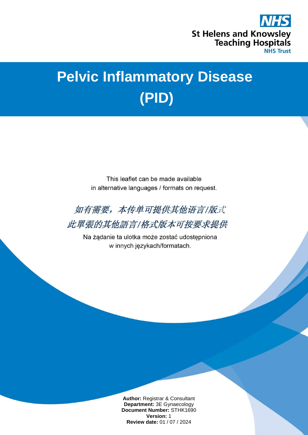

# **Pelvic Inflammatory Disease (PID)**

This leaflet can be made available in alternative languages / formats on request.



此單張的其他語言/格式版本可按要求提供

Na żądanie ta ulotka może zostać udostępniona w innych językach/formatach.

> **Author:** Registrar & Consultant **Department:** 3E Gynaecology **Document Number:** STHK1690 **Version:** 1 **Review date:** 01 / 07 / 2024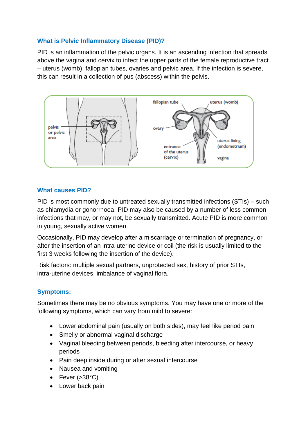# **What is Pelvic Inflammatory Disease (PID)?**

PID is an inflammation of the pelvic organs. It is an ascending infection that spreads above the vagina and cervix to infect the upper parts of the female reproductive tract – uterus (womb), fallopian tubes, ovaries and pelvic area. If the infection is severe, this can result in a collection of pus (abscess) within the pelvis.



#### **What causes PID?**

PID is most commonly due to untreated sexually transmitted infections (STIs) – such as chlamydia or gonorrhoea. PID may also be caused by a number of less common infections that may, or may not, be sexually transmitted. Acute PID is more common in young, sexually active women.

Occasionally, PID may develop after a miscarriage or termination of pregnancy, or after the insertion of an intra-uterine device or coil (the risk is usually limited to the first 3 weeks following the insertion of the device).

Risk factors: multiple sexual partners, unprotected sex, history of prior STIs, intra-uterine devices, imbalance of vaginal flora.

# **Symptoms:**

Sometimes there may be no obvious symptoms. You may have one or more of the following symptoms, which can vary from mild to severe:

- Lower abdominal pain (usually on both sides), may feel like period pain
- Smelly or abnormal vaginal discharge
- Vaginal bleeding between periods, bleeding after intercourse, or heavy periods
- Pain deep inside during or after sexual intercourse
- Nausea and vomiting
- Fever  $( >38^{\circ}C)$
- Lower back pain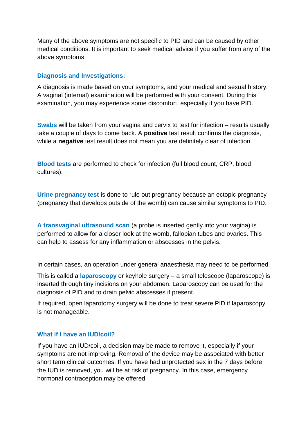Many of the above symptoms are not specific to PID and can be caused by other medical conditions. It is important to seek medical advice if you suffer from any of the above symptoms.

#### **Diagnosis and Investigations:**

A diagnosis is made based on your symptoms, and your medical and sexual history. A vaginal (internal) examination will be performed with your consent. During this examination, you may experience some discomfort, especially if you have PID.

**Swabs** will be taken from your vagina and cervix to test for infection – results usually take a couple of days to come back. A **positive** test result confirms the diagnosis, while a **negative** test result does not mean you are definitely clear of infection.

**Blood tests** are performed to check for infection (full blood count, CRP, blood cultures).

**Urine pregnancy test** is done to rule out pregnancy because an ectopic pregnancy (pregnancy that develops outside of the womb) can cause similar symptoms to PID.

**A transvaginal ultrasound scan** (a probe is inserted gently into your vagina) is performed to allow for a closer look at the womb, fallopian tubes and ovaries. This can help to assess for any inflammation or abscesses in the pelvis.

In certain cases, an operation under general anaesthesia may need to be performed.

This is called a **laparoscopy** or keyhole surgery – a small telescope (laparoscope) is inserted through tiny incisions on your abdomen. Laparoscopy can be used for the diagnosis of PID and to drain pelvic abscesses if present.

If required, open laparotomy surgery will be done to treat severe PID if laparoscopy is not manageable.

#### **What if I have an IUD/coil?**

If you have an IUD/coil, a decision may be made to remove it, especially if your symptoms are not improving. Removal of the device may be associated with better short term clinical outcomes. If you have had unprotected sex in the 7 days before the IUD is removed, you will be at risk of pregnancy. In this case, emergency hormonal contraception may be offered.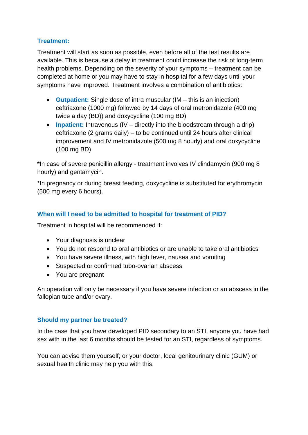# **Treatment:**

Treatment will start as soon as possible, even before all of the test results are available. This is because a delay in treatment could increase the risk of long-term health problems. Depending on the severity of your symptoms – treatment can be completed at home or you may have to stay in hospital for a few days until your symptoms have improved. Treatment involves a combination of antibiotics:

- **Outpatient:** Single dose of intra muscular (IM this is an injection) ceftriaxone (1000 mg) followed by 14 days of oral metronidazole (400 mg twice a day (BD)) and doxycycline (100 mg BD)
- **Inpatient:** Intravenous (IV directly into the bloodstream through a drip) ceftriaxone (2 grams daily) – to be continued until 24 hours after clinical improvement and IV metronidazole (500 mg 8 hourly) and oral doxycycline (100 mg BD)

**\***In case of severe penicillin allergy - treatment involves IV clindamycin (900 mg 8 hourly) and gentamycin.

\*In pregnancy or during breast feeding, doxycycline is substituted for erythromycin (500 mg every 6 hours).

# **When will I need to be admitted to hospital for treatment of PID?**

Treatment in hospital will be recommended if:

- Your diagnosis is unclear
- You do not respond to oral antibiotics or are unable to take oral antibiotics
- You have severe illness, with high fever, nausea and vomiting
- Suspected or confirmed tubo-ovarian abscess
- You are pregnant

An operation will only be necessary if you have severe infection or an abscess in the fallopian tube and/or ovary.

# **Should my partner be treated?**

In the case that you have developed PID secondary to an STI, anyone you have had sex with in the last 6 months should be tested for an STI, regardless of symptoms.

You can advise them yourself; or your doctor, local genitourinary clinic (GUM) or sexual health clinic may help you with this.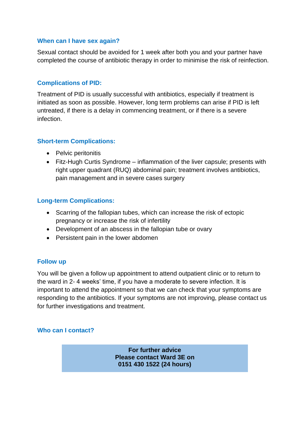#### **When can I have sex again?**

Sexual contact should be avoided for 1 week after both you and your partner have completed the course of antibiotic therapy in order to minimise the risk of reinfection.

#### **Complications of PID:**

Treatment of PID is usually successful with antibiotics, especially if treatment is initiated as soon as possible. However, long term problems can arise if PID is left untreated, if there is a delay in commencing treatment, or if there is a severe infection.

#### **Short-term Complications:**

- Pelvic peritonitis
- Fitz-Hugh Curtis Syndrome inflammation of the liver capsule; presents with right upper quadrant (RUQ) abdominal pain; treatment involves antibiotics, pain management and in severe cases surgery

#### **Long-term Complications:**

- Scarring of the fallopian tubes, which can increase the risk of ectopic pregnancy or increase the risk of infertility
- Development of an abscess in the fallopian tube or ovary
- Persistent pain in the lower abdomen

# **Follow up**

You will be given a follow up appointment to attend outpatient clinic or to return to the ward in 2- 4 weeks' time, if you have a moderate to severe infection. It is important to attend the appointment so that we can check that your symptoms are responding to the antibiotics. If your symptoms are not improving, please contact us for further investigations and treatment.

# **Who can I contact?**

**For further advice Please contact Ward 3E on 0151 430 1522 (24 hours)**